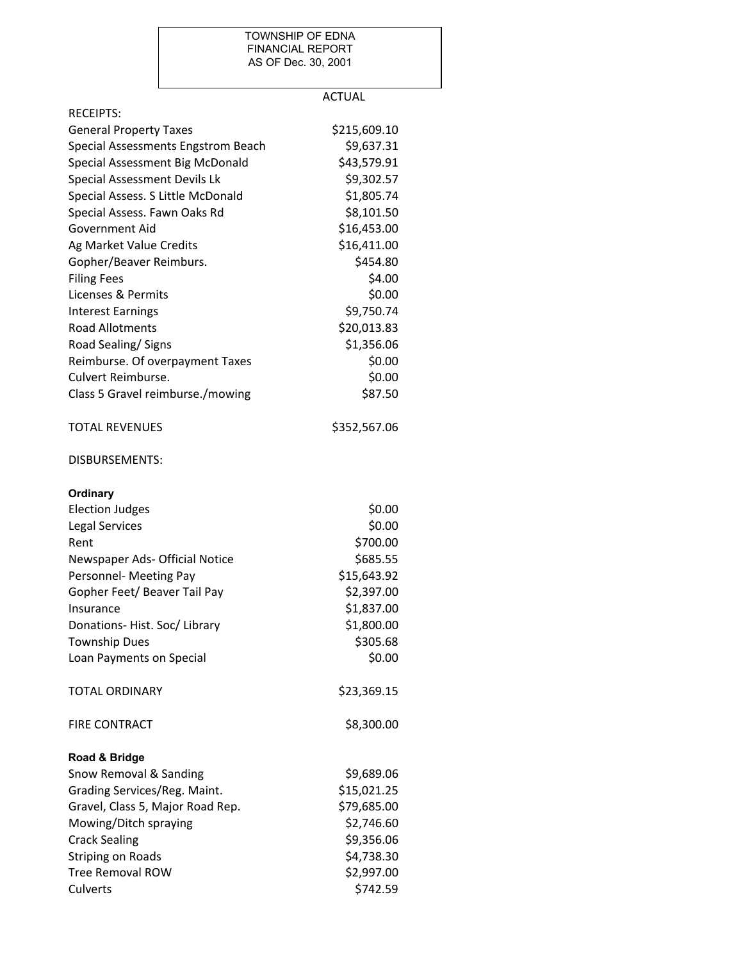## TOWNSHIP OF EDNA FINANCIAL REPORT AS OF Dec. 30, 2001

## ACTUAL

| <b>RECEIPTS:</b>                   |              |
|------------------------------------|--------------|
| <b>General Property Taxes</b>      | \$215,609.10 |
| Special Assessments Engstrom Beach | \$9,637.31   |
| Special Assessment Big McDonald    | \$43,579.91  |
| Special Assessment Devils Lk       | \$9,302.57   |
| Special Assess. S Little McDonald  | \$1,805.74   |
| Special Assess. Fawn Oaks Rd       | \$8,101.50   |
| Government Aid                     | \$16,453.00  |
| Ag Market Value Credits            | \$16,411.00  |
| Gopher/Beaver Reimburs.            | \$454.80     |
| <b>Filing Fees</b>                 | \$4.00       |
| Licenses & Permits                 | \$0.00       |
| <b>Interest Earnings</b>           | \$9,750.74   |
| <b>Road Allotments</b>             | \$20,013.83  |
| Road Sealing/Signs                 | \$1,356.06   |
| Reimburse. Of overpayment Taxes    | \$0.00       |
| Culvert Reimburse.                 | \$0.00       |
| Class 5 Gravel reimburse./mowing   | \$87.50      |
| <b>TOTAL REVENUES</b>              | \$352,567.06 |
| <b>DISBURSEMENTS:</b>              |              |
| Ordinary                           |              |
| <b>Election Judges</b>             | \$0.00       |
| <b>Legal Services</b>              | \$0.00       |
| Rent                               | \$700.00     |
| Newspaper Ads- Official Notice     | \$685.55     |
| Personnel- Meeting Pay             | \$15,643.92  |
| Gopher Feet/ Beaver Tail Pay       | \$2,397.00   |
| Insurance                          | \$1,837.00   |
| Donations-Hist. Soc/Library        | \$1,800.00   |
| <b>Township Dues</b>               | \$305.68     |
| Loan Payments on Special           | \$0.00       |
| <b>TOTAL ORDINARY</b>              | \$23,369.15  |
| <b>FIRE CONTRACT</b>               | \$8,300.00   |
| Road & Bridge                      |              |
| Snow Removal & Sanding             | \$9,689.06   |
| Grading Services/Reg. Maint.       | \$15,021.25  |
| Gravel, Class 5, Major Road Rep.   | \$79,685.00  |
| Mowing/Ditch spraying              | \$2,746.60   |
| <b>Crack Sealing</b>               | \$9,356.06   |
| <b>Striping on Roads</b>           | \$4,738.30   |
| <b>Tree Removal ROW</b>            | \$2,997.00   |
| Culverts                           | \$742.59     |